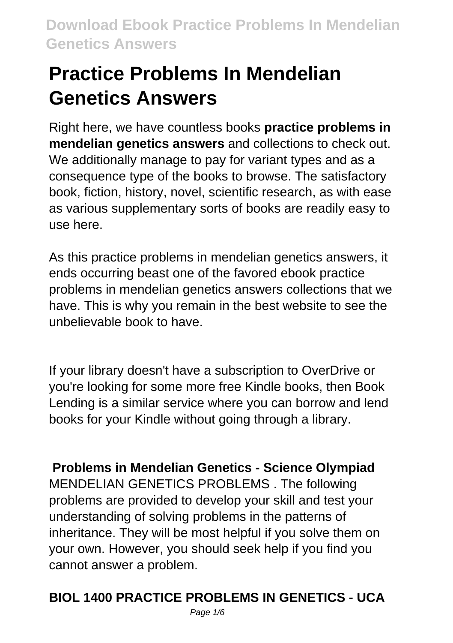# **Practice Problems In Mendelian Genetics Answers**

Right here, we have countless books **practice problems in mendelian genetics answers** and collections to check out. We additionally manage to pay for variant types and as a consequence type of the books to browse. The satisfactory book, fiction, history, novel, scientific research, as with ease as various supplementary sorts of books are readily easy to use here.

As this practice problems in mendelian genetics answers, it ends occurring beast one of the favored ebook practice problems in mendelian genetics answers collections that we have. This is why you remain in the best website to see the unbelievable book to have.

If your library doesn't have a subscription to OverDrive or you're looking for some more free Kindle books, then Book Lending is a similar service where you can borrow and lend books for your Kindle without going through a library.

**Problems in Mendelian Genetics - Science Olympiad** MENDELIAN GENETICS PROBLEMS . The following problems are provided to develop your skill and test your understanding of solving problems in the patterns of inheritance. They will be most helpful if you solve them on your own. However, you should seek help if you find you cannot answer a problem.

## **BIOL 1400 PRACTICE PROBLEMS IN GENETICS - UCA**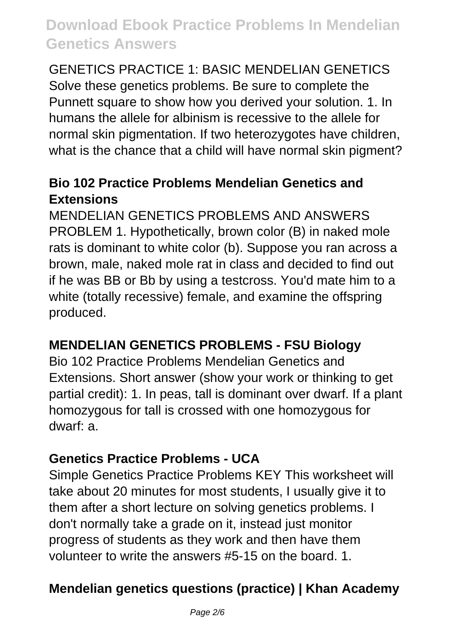GENETICS PRACTICE 1: BASIC MENDELIAN GENETICS Solve these genetics problems. Be sure to complete the Punnett square to show how you derived your solution. 1. In humans the allele for albinism is recessive to the allele for normal skin pigmentation. If two heterozygotes have children, what is the chance that a child will have normal skin pigment?

#### **Bio 102 Practice Problems Mendelian Genetics and Extensions**

MENDELIAN GENETICS PROBLEMS AND ANSWERS PROBLEM 1. Hypothetically, brown color (B) in naked mole rats is dominant to white color (b). Suppose you ran across a brown, male, naked mole rat in class and decided to find out if he was BB or Bb by using a testcross. You'd mate him to a white (totally recessive) female, and examine the offspring produced.

## **MENDELIAN GENETICS PROBLEMS - FSU Biology**

Bio 102 Practice Problems Mendelian Genetics and Extensions. Short answer (show your work or thinking to get partial credit): 1. In peas, tall is dominant over dwarf. If a plant homozygous for tall is crossed with one homozygous for dwarf: a.

#### **Genetics Practice Problems - UCA**

Simple Genetics Practice Problems KEY This worksheet will take about 20 minutes for most students, I usually give it to them after a short lecture on solving genetics problems. I don't normally take a grade on it, instead just monitor progress of students as they work and then have them volunteer to write the answers #5-15 on the board. 1.

## **Mendelian genetics questions (practice) | Khan Academy**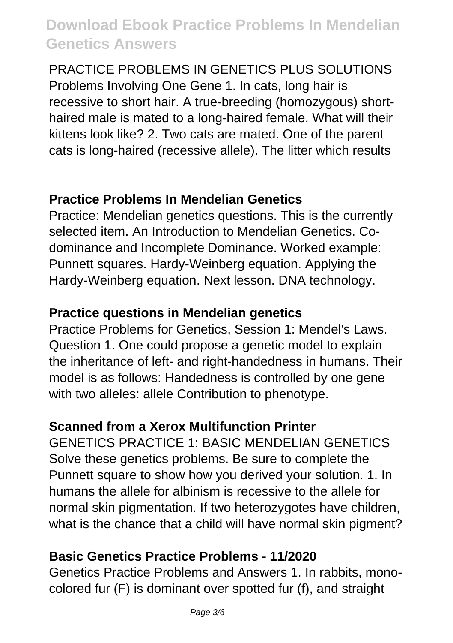PRACTICE PROBLEMS IN GENETICS PLUS SOLUTIONS Problems Involving One Gene 1. In cats, long hair is recessive to short hair. A true-breeding (homozygous) shorthaired male is mated to a long-haired female. What will their kittens look like? 2. Two cats are mated. One of the parent cats is long-haired (recessive allele). The litter which results

#### **Practice Problems In Mendelian Genetics**

Practice: Mendelian genetics questions. This is the currently selected item. An Introduction to Mendelian Genetics. Codominance and Incomplete Dominance. Worked example: Punnett squares. Hardy-Weinberg equation. Applying the Hardy-Weinberg equation. Next lesson. DNA technology.

## **Practice questions in Mendelian genetics**

Practice Problems for Genetics, Session 1: Mendel's Laws. Question 1. One could propose a genetic model to explain the inheritance of left- and right-handedness in humans. Their model is as follows: Handedness is controlled by one gene with two alleles: allele Contribution to phenotype.

## **Scanned from a Xerox Multifunction Printer**

GENETICS PRACTICE 1: BASIC MENDELIAN GENETICS Solve these genetics problems. Be sure to complete the Punnett square to show how you derived your solution. 1. In humans the allele for albinism is recessive to the allele for normal skin pigmentation. If two heterozygotes have children, what is the chance that a child will have normal skin pigment?

## **Basic Genetics Practice Problems - 11/2020**

Genetics Practice Problems and Answers 1. In rabbits, monocolored fur (F) is dominant over spotted fur (f), and straight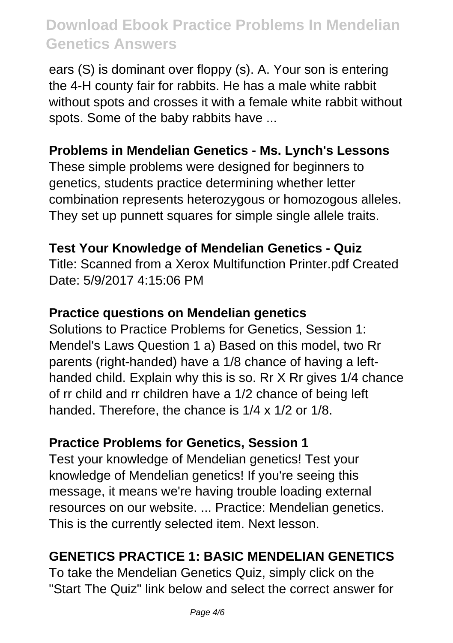ears (S) is dominant over floppy (s). A. Your son is entering the 4-H county fair for rabbits. He has a male white rabbit without spots and crosses it with a female white rabbit without spots. Some of the baby rabbits have ...

## **Problems in Mendelian Genetics - Ms. Lynch's Lessons**

These simple problems were designed for beginners to genetics, students practice determining whether letter combination represents heterozygous or homozogous alleles. They set up punnett squares for simple single allele traits.

#### **Test Your Knowledge of Mendelian Genetics - Quiz**

Title: Scanned from a Xerox Multifunction Printer.pdf Created Date: 5/9/2017 4:15:06 PM

#### **Practice questions on Mendelian genetics**

Solutions to Practice Problems for Genetics, Session 1: Mendel's Laws Question 1 a) Based on this model, two Rr parents (right-handed) have a 1/8 chance of having a lefthanded child. Explain why this is so. Rr X Rr gives 1/4 chance of rr child and rr children have a 1/2 chance of being left handed. Therefore, the chance is 1/4 x 1/2 or 1/8.

#### **Practice Problems for Genetics, Session 1**

Test your knowledge of Mendelian genetics! Test your knowledge of Mendelian genetics! If you're seeing this message, it means we're having trouble loading external resources on our website. ... Practice: Mendelian genetics. This is the currently selected item. Next lesson.

## **GENETICS PRACTICE 1: BASIC MENDELIAN GENETICS**

To take the Mendelian Genetics Quiz, simply click on the "Start The Quiz" link below and select the correct answer for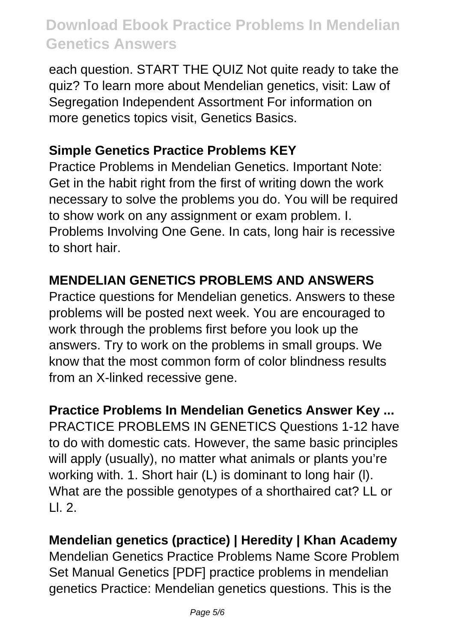each question. START THE QUIZ Not quite ready to take the quiz? To learn more about Mendelian genetics, visit: Law of Segregation Independent Assortment For information on more genetics topics visit, Genetics Basics.

## **Simple Genetics Practice Problems KEY**

Practice Problems in Mendelian Genetics. Important Note: Get in the habit right from the first of writing down the work necessary to solve the problems you do. You will be required to show work on any assignment or exam problem. I. Problems Involving One Gene. In cats, long hair is recessive to short hair.

## **MENDELIAN GENETICS PROBLEMS AND ANSWERS**

Practice questions for Mendelian genetics. Answers to these problems will be posted next week. You are encouraged to work through the problems first before you look up the answers. Try to work on the problems in small groups. We know that the most common form of color blindness results from an X-linked recessive gene.

#### **Practice Problems In Mendelian Genetics Answer Key ...**

PRACTICE PROBLEMS IN GENETICS Questions 1-12 have to do with domestic cats. However, the same basic principles will apply (usually), no matter what animals or plants you're working with. 1. Short hair (L) is dominant to long hair (l). What are the possible genotypes of a shorthaired cat? LL or  $| \cdot |$  2.

## **Mendelian genetics (practice) | Heredity | Khan Academy**

Mendelian Genetics Practice Problems Name Score Problem Set Manual Genetics [PDF] practice problems in mendelian genetics Practice: Mendelian genetics questions. This is the